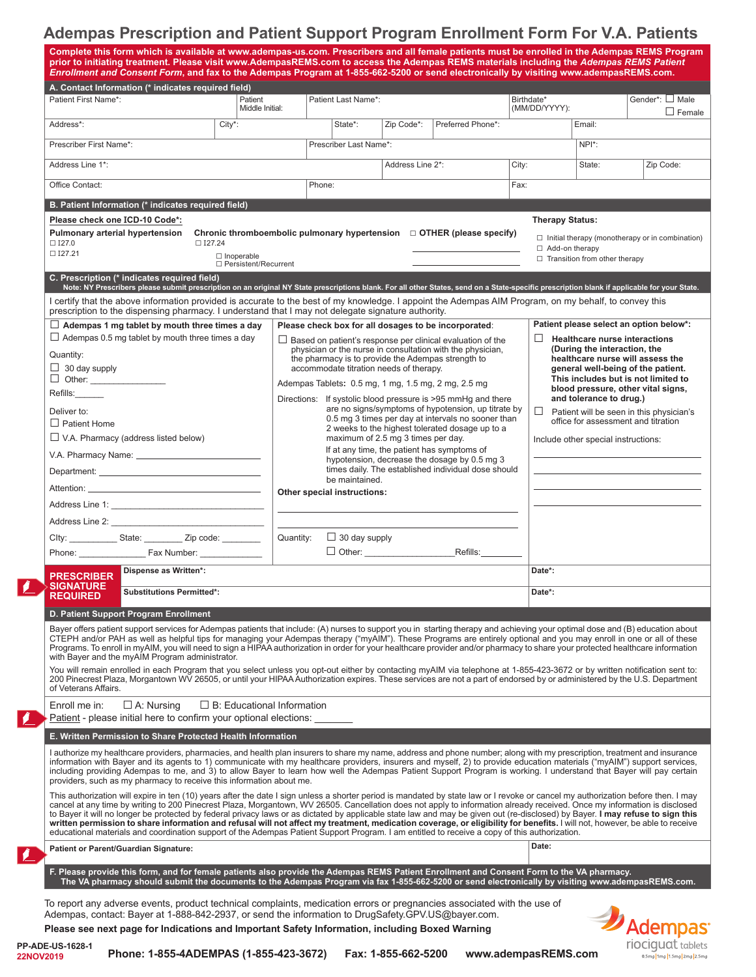# **Adempas Prescription and Patient Support Program Enrollment Form For V.A. Patients**

| Complete this form which is available at www.adempas-us.com. Prescribers and all female patients must be enrolled in the Adempas REMS Program<br>prior to initiating treatment. Please visit www.AdempasREMS.com to access the Adempas REMS materials including the Adempas REMS Patient<br>Enrollment and Consent Form, and fax to the Adempas Program at 1-855-662-5200 or send electronically by visiting www.adempasREMS.com.                                                                                                                                                                                                                                                                                                                                                                                                                                                |                                                                                                                                                                                                                                                                                                                                                                                                           |                                                      |                        |            |                   |                                                                                                                                                                                                                                                                                                         |                                                                                  |                                  |  |
|----------------------------------------------------------------------------------------------------------------------------------------------------------------------------------------------------------------------------------------------------------------------------------------------------------------------------------------------------------------------------------------------------------------------------------------------------------------------------------------------------------------------------------------------------------------------------------------------------------------------------------------------------------------------------------------------------------------------------------------------------------------------------------------------------------------------------------------------------------------------------------|-----------------------------------------------------------------------------------------------------------------------------------------------------------------------------------------------------------------------------------------------------------------------------------------------------------------------------------------------------------------------------------------------------------|------------------------------------------------------|------------------------|------------|-------------------|---------------------------------------------------------------------------------------------------------------------------------------------------------------------------------------------------------------------------------------------------------------------------------------------------------|----------------------------------------------------------------------------------|----------------------------------|--|
| A. Contact Information (* indicates required field)<br>Patient First Name*:                                                                                                                                                                                                                                                                                                                                                                                                                                                                                                                                                                                                                                                                                                                                                                                                      |                                                                                                                                                                                                                                                                                                                                                                                                           |                                                      |                        |            |                   |                                                                                                                                                                                                                                                                                                         |                                                                                  |                                  |  |
|                                                                                                                                                                                                                                                                                                                                                                                                                                                                                                                                                                                                                                                                                                                                                                                                                                                                                  | Patient<br>Middle Initial:                                                                                                                                                                                                                                                                                                                                                                                | Patient Last Name*:                                  |                        |            |                   | Birthdate*<br>(MM/DD/YYYY):                                                                                                                                                                                                                                                                             |                                                                                  | Gender*: □ Male<br>$\Box$ Female |  |
| Address*:                                                                                                                                                                                                                                                                                                                                                                                                                                                                                                                                                                                                                                                                                                                                                                                                                                                                        | City*:                                                                                                                                                                                                                                                                                                                                                                                                    |                                                      | State*:                | Zip Code*: | Preferred Phone*: |                                                                                                                                                                                                                                                                                                         | Email:                                                                           |                                  |  |
| Prescriber First Name*:                                                                                                                                                                                                                                                                                                                                                                                                                                                                                                                                                                                                                                                                                                                                                                                                                                                          |                                                                                                                                                                                                                                                                                                                                                                                                           |                                                      | Prescriber Last Name*: |            |                   |                                                                                                                                                                                                                                                                                                         | $NPI^*$ :                                                                        |                                  |  |
| Address Line 1*:                                                                                                                                                                                                                                                                                                                                                                                                                                                                                                                                                                                                                                                                                                                                                                                                                                                                 |                                                                                                                                                                                                                                                                                                                                                                                                           |                                                      | Address Line 2*:       |            |                   | City:                                                                                                                                                                                                                                                                                                   | State:                                                                           | Zip Code:                        |  |
| Office Contact:                                                                                                                                                                                                                                                                                                                                                                                                                                                                                                                                                                                                                                                                                                                                                                                                                                                                  |                                                                                                                                                                                                                                                                                                                                                                                                           | Phone:                                               |                        |            | Fax:              |                                                                                                                                                                                                                                                                                                         |                                                                                  |                                  |  |
| B. Patient Information (* indicates required field)                                                                                                                                                                                                                                                                                                                                                                                                                                                                                                                                                                                                                                                                                                                                                                                                                              |                                                                                                                                                                                                                                                                                                                                                                                                           |                                                      |                        |            |                   |                                                                                                                                                                                                                                                                                                         |                                                                                  |                                  |  |
| Please check one ICD-10 Code*:<br><b>Pulmonary arterial hypertension</b><br>$\square$ I27.0<br>$\square$ I27.24                                                                                                                                                                                                                                                                                                                                                                                                                                                                                                                                                                                                                                                                                                                                                                  |                                                                                                                                                                                                                                                                                                                                                                                                           |                                                      |                        |            |                   |                                                                                                                                                                                                                                                                                                         | <b>Therapy Status:</b><br>$\Box$ Initial therapy (monotherapy or in combination) |                                  |  |
| $\square$ I27.21                                                                                                                                                                                                                                                                                                                                                                                                                                                                                                                                                                                                                                                                                                                                                                                                                                                                 | □ Persistent/Recurrent                                                                                                                                                                                                                                                                                                                                                                                    |                                                      |                        |            |                   | □ Add-on therapy<br>$\Box$ Transition from other therapy                                                                                                                                                                                                                                                |                                                                                  |                                  |  |
| C. Prescription (* indicates required field)                                                                                                                                                                                                                                                                                                                                                                                                                                                                                                                                                                                                                                                                                                                                                                                                                                     |                                                                                                                                                                                                                                                                                                                                                                                                           |                                                      |                        |            |                   |                                                                                                                                                                                                                                                                                                         |                                                                                  |                                  |  |
| Note: NY Prescribers please submit prescription on an original NY State prescriptions blank. For all other States, send on a State-specific prescription blank if applicable for your State.<br>I certify that the above information provided is accurate to the best of my knowledge. I appoint the Adempas AIM Program, on my behalf, to convey this<br>prescription to the dispensing pharmacy. I understand that I may not delegate signature authority.                                                                                                                                                                                                                                                                                                                                                                                                                     |                                                                                                                                                                                                                                                                                                                                                                                                           |                                                      |                        |            |                   |                                                                                                                                                                                                                                                                                                         |                                                                                  |                                  |  |
| $\Box$ Adempas 1 mg tablet by mouth three times a day                                                                                                                                                                                                                                                                                                                                                                                                                                                                                                                                                                                                                                                                                                                                                                                                                            |                                                                                                                                                                                                                                                                                                                                                                                                           | Please check box for all dosages to be incorporated: |                        |            |                   | Patient please select an option below*:                                                                                                                                                                                                                                                                 |                                                                                  |                                  |  |
| $\Box$ Adempas 0.5 mg tablet by mouth three times a day<br>Quantity:<br>$\Box$ 30 day supply                                                                                                                                                                                                                                                                                                                                                                                                                                                                                                                                                                                                                                                                                                                                                                                     | $\Box$ Based on patient's response per clinical evaluation of the<br>physician or the nurse in consultation with the physician,<br>the pharmacy is to provide the Adempas strength to<br>accommodate titration needs of therapy.                                                                                                                                                                          |                                                      |                        |            |                   | <b>Healthcare nurse interactions</b><br>(During the interaction, the<br>healthcare nurse will assess the<br>general well-being of the patient.<br>This includes but is not limited to<br>blood pressure, other vital signs,<br>and tolerance to drug.)<br>ш<br>Patient will be seen in this physician's |                                                                                  |                                  |  |
| □ Other: ________________<br>Refills:______                                                                                                                                                                                                                                                                                                                                                                                                                                                                                                                                                                                                                                                                                                                                                                                                                                      | Adempas Tablets: 0.5 mg, 1 mg, 1.5 mg, 2 mg, 2.5 mg<br>Directions: If systolic blood pressure is >95 mmHg and there                                                                                                                                                                                                                                                                                       |                                                      |                        |            |                   |                                                                                                                                                                                                                                                                                                         |                                                                                  |                                  |  |
| Deliver to:                                                                                                                                                                                                                                                                                                                                                                                                                                                                                                                                                                                                                                                                                                                                                                                                                                                                      | are no signs/symptoms of hypotension, up titrate by<br>0.5 mg 3 times per day at intervals no sooner than<br>2 weeks to the highest tolerated dosage up to a<br>maximum of 2.5 mg 3 times per day.<br>If at any time, the patient has symptoms of<br>hypotension, decrease the dosage by 0.5 mg 3<br>times daily. The established individual dose should<br>be maintained.<br>Other special instructions: |                                                      |                        |            |                   |                                                                                                                                                                                                                                                                                                         |                                                                                  |                                  |  |
| $\Box$ Patient Home<br>$\Box$ V.A. Pharmacy (address listed below)                                                                                                                                                                                                                                                                                                                                                                                                                                                                                                                                                                                                                                                                                                                                                                                                               |                                                                                                                                                                                                                                                                                                                                                                                                           |                                                      |                        |            |                   | office for assessment and titration                                                                                                                                                                                                                                                                     |                                                                                  |                                  |  |
|                                                                                                                                                                                                                                                                                                                                                                                                                                                                                                                                                                                                                                                                                                                                                                                                                                                                                  |                                                                                                                                                                                                                                                                                                                                                                                                           |                                                      |                        |            |                   | Include other special instructions:                                                                                                                                                                                                                                                                     |                                                                                  |                                  |  |
|                                                                                                                                                                                                                                                                                                                                                                                                                                                                                                                                                                                                                                                                                                                                                                                                                                                                                  |                                                                                                                                                                                                                                                                                                                                                                                                           |                                                      |                        |            |                   |                                                                                                                                                                                                                                                                                                         |                                                                                  |                                  |  |
|                                                                                                                                                                                                                                                                                                                                                                                                                                                                                                                                                                                                                                                                                                                                                                                                                                                                                  |                                                                                                                                                                                                                                                                                                                                                                                                           |                                                      |                        |            |                   |                                                                                                                                                                                                                                                                                                         |                                                                                  |                                  |  |
|                                                                                                                                                                                                                                                                                                                                                                                                                                                                                                                                                                                                                                                                                                                                                                                                                                                                                  |                                                                                                                                                                                                                                                                                                                                                                                                           |                                                      |                        |            |                   |                                                                                                                                                                                                                                                                                                         |                                                                                  |                                  |  |
| Address Line 2: New York Changes 1: New York Changes 1: New York Changes 1: New York Changes 1: New York Changes 1: New York Changes 1: New York Changes 1: New York Changes 1: New York Changes 1: New York Changes 1: New Yo                                                                                                                                                                                                                                                                                                                                                                                                                                                                                                                                                                                                                                                   |                                                                                                                                                                                                                                                                                                                                                                                                           |                                                      |                        |            |                   |                                                                                                                                                                                                                                                                                                         |                                                                                  |                                  |  |
| Clty: _____________State: __________ Zip code: _________                                                                                                                                                                                                                                                                                                                                                                                                                                                                                                                                                                                                                                                                                                                                                                                                                         |                                                                                                                                                                                                                                                                                                                                                                                                           | Quantity:                                            | $\Box$ 30 day supply   |            |                   |                                                                                                                                                                                                                                                                                                         |                                                                                  |                                  |  |
| Phone: Fax Number:                                                                                                                                                                                                                                                                                                                                                                                                                                                                                                                                                                                                                                                                                                                                                                                                                                                               |                                                                                                                                                                                                                                                                                                                                                                                                           |                                                      | Refills:               |            |                   |                                                                                                                                                                                                                                                                                                         |                                                                                  |                                  |  |
| Dispense as Written*:<br>PRESCRIBER<br><b>SIGNATURE</b>                                                                                                                                                                                                                                                                                                                                                                                                                                                                                                                                                                                                                                                                                                                                                                                                                          |                                                                                                                                                                                                                                                                                                                                                                                                           |                                                      |                        |            | Date*:            |                                                                                                                                                                                                                                                                                                         |                                                                                  |                                  |  |
| <b>Substitutions Permitted*:</b><br><b>REQUIRED</b>                                                                                                                                                                                                                                                                                                                                                                                                                                                                                                                                                                                                                                                                                                                                                                                                                              |                                                                                                                                                                                                                                                                                                                                                                                                           |                                                      |                        |            |                   |                                                                                                                                                                                                                                                                                                         | Date*:                                                                           |                                  |  |
| D. Patient Support Program Enrollment                                                                                                                                                                                                                                                                                                                                                                                                                                                                                                                                                                                                                                                                                                                                                                                                                                            |                                                                                                                                                                                                                                                                                                                                                                                                           |                                                      |                        |            |                   |                                                                                                                                                                                                                                                                                                         |                                                                                  |                                  |  |
| Bayer offers patient support services for Adempas patients that include: (A) nurses to support you in starting therapy and achieving your optimal dose and (B) education about<br>CTEPH and/or PAH as well as helpful tips for managing your Adempas therapy ("myAIM"). These Programs are entirely optional and you may enroll in one or all of these<br>Programs. To enroll in myAIM, you will need to sign a HIPAA authorization in order for your healthcare provider and/or pharmacy to share your protected healthcare information<br>with Bayer and the myAIM Program administrator.                                                                                                                                                                                                                                                                                      |                                                                                                                                                                                                                                                                                                                                                                                                           |                                                      |                        |            |                   |                                                                                                                                                                                                                                                                                                         |                                                                                  |                                  |  |
| You will remain enrolled in each Program that you select unless you opt-out either by contacting myAIM via telephone at 1-855-423-3672 or by written notification sent to:<br>200 Pinecrest Plaza, Morgantown WV 26505, or until your HIPAA Authorization expires. These services are not a part of endorsed by or administered by the U.S. Department<br>of Veterans Affairs.                                                                                                                                                                                                                                                                                                                                                                                                                                                                                                   |                                                                                                                                                                                                                                                                                                                                                                                                           |                                                      |                        |            |                   |                                                                                                                                                                                                                                                                                                         |                                                                                  |                                  |  |
| $\Box$ A: Nursing<br>$\Box$ B: Educational Information<br>Enroll me in:<br>Patient - please initial here to confirm your optional elections:                                                                                                                                                                                                                                                                                                                                                                                                                                                                                                                                                                                                                                                                                                                                     |                                                                                                                                                                                                                                                                                                                                                                                                           |                                                      |                        |            |                   |                                                                                                                                                                                                                                                                                                         |                                                                                  |                                  |  |
| E. Written Permission to Share Protected Health Information                                                                                                                                                                                                                                                                                                                                                                                                                                                                                                                                                                                                                                                                                                                                                                                                                      |                                                                                                                                                                                                                                                                                                                                                                                                           |                                                      |                        |            |                   |                                                                                                                                                                                                                                                                                                         |                                                                                  |                                  |  |
| I authorize my healthcare providers, pharmacies, and health plan insurers to share my name, address and phone number; along with my prescription, treatment and insurance<br>information with Bayer and its agents to 1) communicate with my healthcare providers, insurers and myself, 2) to provide education materials ("myAIM") support services,<br>including providing Adempas to me, and 3) to allow Bayer to learn how well the Adempas Patient Support Program is working. I understand that Bayer will pay certain<br>providers, such as my pharmacy to receive this information about me.                                                                                                                                                                                                                                                                             |                                                                                                                                                                                                                                                                                                                                                                                                           |                                                      |                        |            |                   |                                                                                                                                                                                                                                                                                                         |                                                                                  |                                  |  |
| This authorization will expire in ten (10) years after the date I sign unless a shorter period is mandated by state law or I revoke or cancel my authorization before then. I may<br>cancel at any time by writing to 200 Pinecrest Plaza, Morgantown, WV 26505. Cancellation does not apply to information already received. Once my information is disclosed<br>to Bayer it will no longer be protected by federal privacy laws or as dictated by applicable state law and may be given out (re-disclosed) by Bayer. I may refuse to sign this<br>written permission to share information and refusal will not affect my treatment, medication coverage, or eligibility for benefits. I will not, however, be able to receive<br>educational materials and coordination support of the Adempas Patient Support Program. I am entitled to receive a copy of this authorization. |                                                                                                                                                                                                                                                                                                                                                                                                           |                                                      |                        |            |                   |                                                                                                                                                                                                                                                                                                         |                                                                                  |                                  |  |
| Patient or Parent/Guardian Signature:                                                                                                                                                                                                                                                                                                                                                                                                                                                                                                                                                                                                                                                                                                                                                                                                                                            |                                                                                                                                                                                                                                                                                                                                                                                                           |                                                      |                        |            |                   | Date:                                                                                                                                                                                                                                                                                                   |                                                                                  |                                  |  |
| F. Please provide this form, and for female patients also provide the Adempas REMS Patient Enrollment and Consent Form to the VA pharmacy.<br>The VA pharmacy should submit the documents to the Adempas Program via fax 1-855-662-5200 or send electronically by visiting www.adempasREMS.com.                                                                                                                                                                                                                                                                                                                                                                                                                                                                                                                                                                                  |                                                                                                                                                                                                                                                                                                                                                                                                           |                                                      |                        |            |                   |                                                                                                                                                                                                                                                                                                         |                                                                                  |                                  |  |
| To report any adverse events, product technical complaints, medication errors or pregnancies associated with the use of<br>Adempas, contact: Bayer at 1-888-842-2937, or send the information to DrugSafety.GPV.US@bayer.com.<br>Adempas<br>Please see next page for Indications and Important Safety Information, including Boxed Warning                                                                                                                                                                                                                                                                                                                                                                                                                                                                                                                                       |                                                                                                                                                                                                                                                                                                                                                                                                           |                                                      |                        |            |                   |                                                                                                                                                                                                                                                                                                         |                                                                                  |                                  |  |

 $\blacksquare$ 

 $\mathbf{r}$ 

 $\sqrt{2}$ 

22NOV2019

riociguat tablets 0.5mg 1mg 1.5mg 2mg 2.5mg